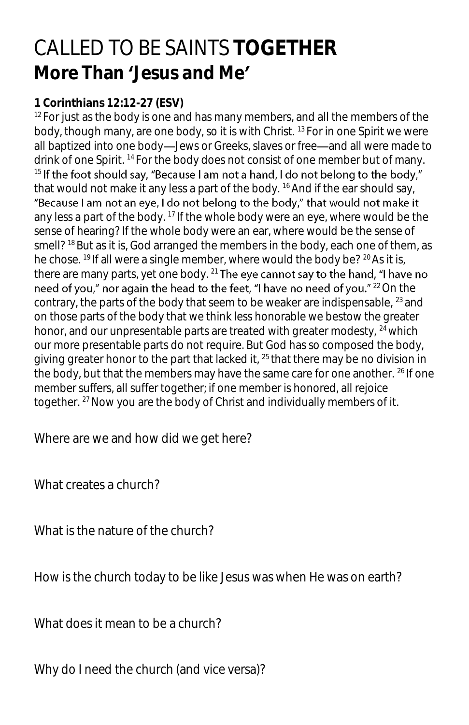## CALLED TO BE SAINTS **TOGETHER** More Than Jesus and Me"

## **1 Corinthians 12:12-27 (ESV)**

 $12$  For just as the body is one and has many members, and all the members of the body, though many, are one body, so it is with Christ. <sup>13</sup>For in one Spirit we were all baptized into one body-Jews or Greeks, slaves or free-and all were made to drink of one Spirit. <sup>14</sup> For the body does not consist of one member but of many.  $15$  If the foot should say, "Because I am not a hand, I do not belong to the body," that would not make it any less a part of the body. <sup>16</sup> And if the ear should say, "Because I am not an eye, I do not belong to the body," that would not make it any less a part of the body.  $17$  If the whole body were an eye, where would be the sense of hearing? If the whole body were an ear, where would be the sense of smell?<sup>18</sup> But as it is, God arranged the members in the body, each one of them, as he chose. <sup>19</sup> If all were a single member, where would the body be? <sup>20</sup> As it is, there are many parts, yet one body. <sup>21</sup> The eye cannot say to the hand, "I have no need of you," nor again the head to the feet, "I have no need of you." <sup>22</sup> On the contrary, the parts of the body that seem to be weaker are indispensable, <sup>23</sup> and on those parts of the body that we think less honorable we bestow the greater honor, and our unpresentable parts are treated with greater modesty,  $24$  which our more presentable parts do not require. But God has so composed the body, giving greater honor to the part that lacked it, <sup>25</sup> that there may be no division in the body, but that the members may have the same care for one another. <sup>26</sup> If one member suffers, all suffer together; if one member is honored, all rejoice together. <sup>27</sup> Now you are the body of Christ and individually members of it.

Where are we and how did we get here?

What creates a church?

What is the nature of the church?

How is the church today to be like Jesus was when He was on earth?

What does it mean to be a church?

Why do I need the church (and vice versa)?